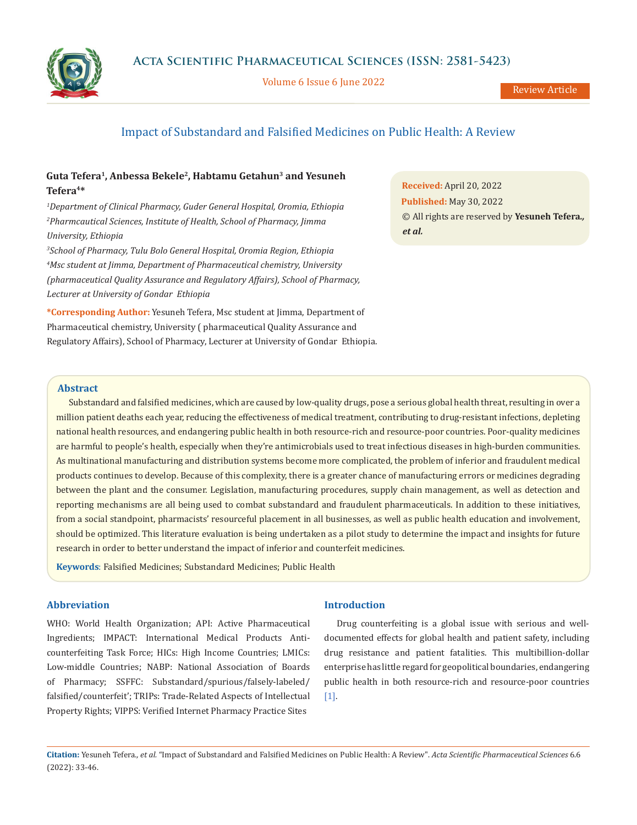

Volume 6 Issue 6 June 2022

# Impact of Substandard and Falsified Medicines on Public Health: A Review

# **Guta Tefera1, Anbessa Bekele2, Habtamu Getahun3 and Yesuneh Tefera4\***

*1 Department of Clinical Pharmacy, Guder General Hospital, Oromia, Ethiopia 2 Pharmcautical Sciences, Institute of Health, School of Pharmacy, Jimma University, Ethiopia*

*3 School of Pharmacy, Tulu Bolo General Hospital, Oromia Region, Ethiopia 4 Msc student at Jimma, Department of Pharmaceutical chemistry, University (pharmaceutical Quality Assurance and Regulatory Affairs), School of Pharmacy, Lecturer at University of Gondar Ethiopia*

**\*Corresponding Author:** Yesuneh Tefera, Msc student at Jimma, Department of Pharmaceutical chemistry, University ( pharmaceutical Quality Assurance and Regulatory Affairs), School of Pharmacy, Lecturer at University of Gondar Ethiopia. **Received:** April 20, 2022 **Published:** May 30, 2022 © All rights are reserved by **Yesuneh Tefera***., et al.*

# **Abstract**

Substandard and falsified medicines, which are caused by low-quality drugs, pose a serious global health threat, resulting in over a million patient deaths each year, reducing the effectiveness of medical treatment, contributing to drug-resistant infections, depleting national health resources, and endangering public health in both resource-rich and resource-poor countries. Poor-quality medicines are harmful to people's health, especially when they're antimicrobials used to treat infectious diseases in high-burden communities. As multinational manufacturing and distribution systems become more complicated, the problem of inferior and fraudulent medical products continues to develop. Because of this complexity, there is a greater chance of manufacturing errors or medicines degrading between the plant and the consumer. Legislation, manufacturing procedures, supply chain management, as well as detection and reporting mechanisms are all being used to combat substandard and fraudulent pharmaceuticals. In addition to these initiatives, from a social standpoint, pharmacists' resourceful placement in all businesses, as well as public health education and involvement, should be optimized. This literature evaluation is being undertaken as a pilot study to determine the impact and insights for future research in order to better understand the impact of inferior and counterfeit medicines.

**Keywords**: Falsified Medicines; Substandard Medicines; Public Health

# **Abbreviation**

WHO: World Health Organization; API: Active Pharmaceutical Ingredients; IMPACT: International Medical Products Anticounterfeiting Task Force; HICs: High Income Countries; LMICs: Low-middle Countries; NABP: National Association of Boards of Pharmacy; SSFFC: Substandard/spurious/falsely-labeled/ falsified/counterfeit'; TRIPs: Trade-Related Aspects of Intellectual Property Rights; VIPPS: Verified Internet Pharmacy Practice Sites

### **Introduction**

Drug counterfeiting is a global issue with serious and welldocumented effects for global health and patient safety, including drug resistance and patient fatalities. This multibillion-dollar enterprise has little regard for geopolitical boundaries, endangering public health in both resource-rich and resource-poor countries [1].

**Citation:** Yesuneh Tefera*., et al.* "Impact of Substandard and Falsified Medicines on Public Health: A Review". *Acta Scientific Pharmaceutical Sciences* 6.6 (2022): 33-46.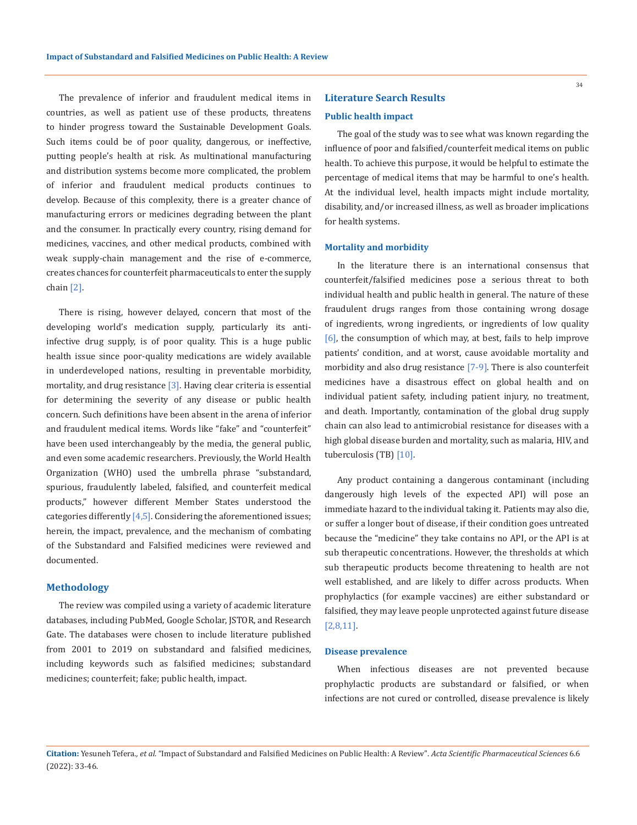The prevalence of inferior and fraudulent medical items in countries, as well as patient use of these products, threatens to hinder progress toward the Sustainable Development Goals. Such items could be of poor quality, dangerous, or ineffective, putting people's health at risk. As multinational manufacturing and distribution systems become more complicated, the problem of inferior and fraudulent medical products continues to develop. Because of this complexity, there is a greater chance of manufacturing errors or medicines degrading between the plant and the consumer. In practically every country, rising demand for medicines, vaccines, and other medical products, combined with weak supply-chain management and the rise of e-commerce, creates chances for counterfeit pharmaceuticals to enter the supply chain [2].

There is rising, however delayed, concern that most of the developing world's medication supply, particularly its antiinfective drug supply, is of poor quality. This is a huge public health issue since poor-quality medications are widely available in underdeveloped nations, resulting in preventable morbidity, mortality, and drug resistance [3]. Having clear criteria is essential for determining the severity of any disease or public health concern. Such definitions have been absent in the arena of inferior and fraudulent medical items. Words like "fake" and "counterfeit" have been used interchangeably by the media, the general public, and even some academic researchers. Previously, the World Health Organization (WHO) used the umbrella phrase "substandard, spurious, fraudulently labeled, falsified, and counterfeit medical products," however different Member States understood the categories differently  $[4,5]$ . Considering the aforementioned issues; herein, the impact, prevalence, and the mechanism of combating of the Substandard and Falsified medicines were reviewed and documented.

### **Methodology**

The review was compiled using a variety of academic literature databases, including PubMed, Google Scholar, JSTOR, and Research Gate. The databases were chosen to include literature published from 2001 to 2019 on substandard and falsified medicines, including keywords such as falsified medicines; substandard medicines; counterfeit; fake; public health, impact.

# **Literature Search Results Public health impact**

The goal of the study was to see what was known regarding the influence of poor and falsified/counterfeit medical items on public health. To achieve this purpose, it would be helpful to estimate the percentage of medical items that may be harmful to one's health. At the individual level, health impacts might include mortality, disability, and/or increased illness, as well as broader implications for health systems.

### **Mortality and morbidity**

In the literature there is an international consensus that counterfeit/falsified medicines pose a serious threat to both individual health and public health in general. The nature of these fraudulent drugs ranges from those containing wrong dosage of ingredients, wrong ingredients, or ingredients of low quality [6], the consumption of which may, at best, fails to help improve patients' condition, and at worst, cause avoidable mortality and morbidity and also drug resistance [7-9]. There is also counterfeit medicines have a disastrous effect on global health and on individual patient safety, including patient injury, no treatment, and death. Importantly, contamination of the global drug supply chain can also lead to antimicrobial resistance for diseases with a high global disease burden and mortality, such as malaria, HIV, and tuberculosis (TB) [10].

Any product containing a dangerous contaminant (including dangerously high levels of the expected API) will pose an immediate hazard to the individual taking it. Patients may also die, or suffer a longer bout of disease, if their condition goes untreated because the "medicine" they take contains no API, or the API is at sub therapeutic concentrations. However, the thresholds at which sub therapeutic products become threatening to health are not well established, and are likely to differ across products. When prophylactics (for example vaccines) are either substandard or falsified, they may leave people unprotected against future disease [2,8,11].

# **Disease prevalence**

When infectious diseases are not prevented because prophylactic products are substandard or falsified, or when infections are not cured or controlled, disease prevalence is likely

**Citation:** Yesuneh Tefera*., et al.* "Impact of Substandard and Falsified Medicines on Public Health: A Review". *Acta Scientific Pharmaceutical Sciences* 6.6 (2022): 33-46.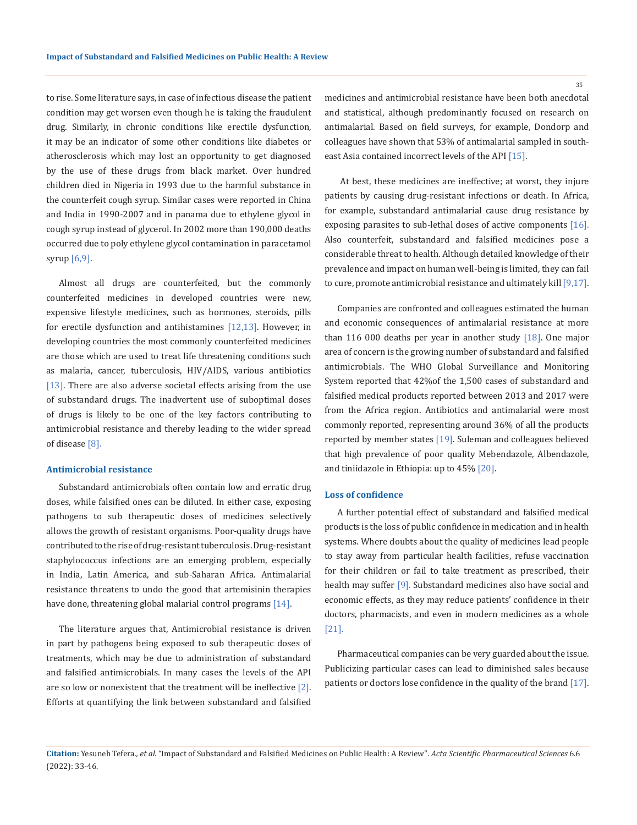to rise. Some literature says, in case of infectious disease the patient condition may get worsen even though he is taking the fraudulent drug. Similarly, in chronic conditions like erectile dysfunction, it may be an indicator of some other conditions like diabetes or atherosclerosis which may lost an opportunity to get diagnosed by the use of these drugs from black market. Over hundred children died in Nigeria in 1993 due to the harmful substance in the counterfeit cough syrup. Similar cases were reported in China and India in 1990-2007 and in panama due to ethylene glycol in cough syrup instead of glycerol. In 2002 more than 190,000 deaths occurred due to poly ethylene glycol contamination in paracetamol syrup [6,9].

Almost all drugs are counterfeited, but the commonly counterfeited medicines in developed countries were new, expensive lifestyle medicines, such as hormones, steroids, pills for erectile dysfunction and antihistamines [12,13]. However, in developing countries the most commonly counterfeited medicines are those which are used to treat life threatening conditions such as malaria, cancer, tuberculosis, HIV/AIDS, various antibiotics [13]. There are also adverse societal effects arising from the use of substandard drugs. The inadvertent use of suboptimal doses of drugs is likely to be one of the key factors contributing to antimicrobial resistance and thereby leading to the wider spread of disease [8].

### **Antimicrobial resistance**

Substandard antimicrobials often contain low and erratic drug doses, while falsified ones can be diluted. In either case, exposing pathogens to sub therapeutic doses of medicines selectively allows the growth of resistant organisms. Poor-quality drugs have contributed to the rise of drug-resistant tuberculosis. Drug-resistant staphylococcus infections are an emerging problem, especially in India, Latin America, and sub-Saharan Africa. Antimalarial resistance threatens to undo the good that artemisinin therapies have done, threatening global malarial control programs [14].

The literature argues that, Antimicrobial resistance is driven in part by pathogens being exposed to sub therapeutic doses of treatments, which may be due to administration of substandard and falsified antimicrobials. In many cases the levels of the API are so low or nonexistent that the treatment will be ineffective [2]. Efforts at quantifying the link between substandard and falsified medicines and antimicrobial resistance have been both anecdotal and statistical, although predominantly focused on research on antimalarial. Based on field surveys, for example, Dondorp and colleagues have shown that 53% of antimalarial sampled in southeast Asia contained incorrect levels of the API [15].

 At best, these medicines are ineffective; at worst, they injure patients by causing drug-resistant infections or death. In Africa, for example, substandard antimalarial cause drug resistance by exposing parasites to sub-lethal doses of active components [16]. Also counterfeit, substandard and falsified medicines pose a considerable threat to health. Although detailed knowledge of their prevalence and impact on human well-being is limited, they can fail to cure, promote antimicrobial resistance and ultimately kill [9,17].

Companies are confronted and colleagues estimated the human and economic consequences of antimalarial resistance at more than 116 000 deaths per year in another study [18]. One major area of concern is the growing number of substandard and falsified antimicrobials. The WHO Global Surveillance and Monitoring System reported that 42%of the 1,500 cases of substandard and falsified medical products reported between 2013 and 2017 were from the Africa region. Antibiotics and antimalarial were most commonly reported, representing around 36% of all the products reported by member states [19]. Suleman and colleagues believed that high prevalence of poor quality Mebendazole, Albendazole, and tiniidazole in Ethiopia: up to 45% [20].

#### **Loss of confidence**

A further potential effect of substandard and falsified medical products is the loss of public confidence in medication and in health systems. Where doubts about the quality of medicines lead people to stay away from particular health facilities, refuse vaccination for their children or fail to take treatment as prescribed, their health may suffer [9]. Substandard medicines also have social and economic effects, as they may reduce patients' confidence in their doctors, pharmacists, and even in modern medicines as a whole [21].

Pharmaceutical companies can be very guarded about the issue. Publicizing particular cases can lead to diminished sales because patients or doctors lose confidence in the quality of the brand [17].

**Citation:** Yesuneh Tefera*., et al.* "Impact of Substandard and Falsified Medicines on Public Health: A Review". *Acta Scientific Pharmaceutical Sciences* 6.6 (2022): 33-46.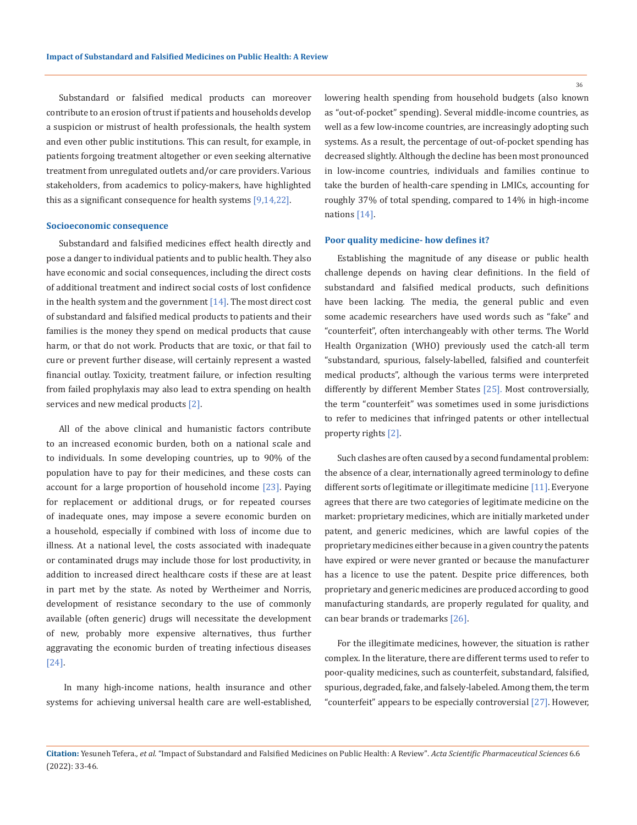Substandard or falsified medical products can moreover contribute to an erosion of trust if patients and households develop a suspicion or mistrust of health professionals, the health system and even other public institutions. This can result, for example, in patients forgoing treatment altogether or even seeking alternative treatment from unregulated outlets and/or care providers. Various stakeholders, from academics to policy-makers, have highlighted this as a significant consequence for health systems [9,14,22].

#### **Socioeconomic consequence**

Substandard and falsified medicines effect health directly and pose a danger to individual patients and to public health. They also have economic and social consequences, including the direct costs of additional treatment and indirect social costs of lost confidence in the health system and the government  $[14]$ . The most direct cost of substandard and falsified medical products to patients and their families is the money they spend on medical products that cause harm, or that do not work. Products that are toxic, or that fail to cure or prevent further disease, will certainly represent a wasted financial outlay. Toxicity, treatment failure, or infection resulting from failed prophylaxis may also lead to extra spending on health services and new medical products [2].

All of the above clinical and humanistic factors contribute to an increased economic burden, both on a national scale and to individuals. In some developing countries, up to 90% of the population have to pay for their medicines, and these costs can account for a large proportion of household income [23]. Paying for replacement or additional drugs, or for repeated courses of inadequate ones, may impose a severe economic burden on a household, especially if combined with loss of income due to illness. At a national level, the costs associated with inadequate or contaminated drugs may include those for lost productivity, in addition to increased direct healthcare costs if these are at least in part met by the state. As noted by Wertheimer and Norris, development of resistance secondary to the use of commonly available (often generic) drugs will necessitate the development of new, probably more expensive alternatives, thus further aggravating the economic burden of treating infectious diseases [24].

 In many high-income nations, health insurance and other systems for achieving universal health care are well-established, lowering health spending from household budgets (also known as "out-of-pocket" spending). Several middle-income countries, as well as a few low-income countries, are increasingly adopting such systems. As a result, the percentage of out-of-pocket spending has decreased slightly. Although the decline has been most pronounced in low-income countries, individuals and families continue to take the burden of health-care spending in LMICs, accounting for roughly 37% of total spending, compared to 14% in high-income nations [14].

### **Poor quality medicine- how defines it?**

Establishing the magnitude of any disease or public health challenge depends on having clear definitions. In the field of substandard and falsified medical products, such definitions have been lacking. The media, the general public and even some academic researchers have used words such as "fake" and "counterfeit", often interchangeably with other terms. The World Health Organization (WHO) previously used the catch-all term "substandard, spurious, falsely-labelled, falsified and counterfeit medical products", although the various terms were interpreted differently by different Member States [25]. Most controversially, the term "counterfeit" was sometimes used in some jurisdictions to refer to medicines that infringed patents or other intellectual property rights [2].

Such clashes are often caused by a second fundamental problem: the absence of a clear, internationally agreed terminology to define different sorts of legitimate or illegitimate medicine [11]. Everyone agrees that there are two categories of legitimate medicine on the market: proprietary medicines, which are initially marketed under patent, and generic medicines, which are lawful copies of the proprietary medicines either because in a given country the patents have expired or were never granted or because the manufacturer has a licence to use the patent. Despite price differences, both proprietary and generic medicines are produced according to good manufacturing standards, are properly regulated for quality, and can bear brands or trademarks [26].

For the illegitimate medicines, however, the situation is rather complex. In the literature, there are different terms used to refer to poor-quality medicines, such as counterfeit, substandard, falsified, spurious, degraded, fake, and falsely-labeled. Among them, the term "counterfeit" appears to be especially controversial [27]. However,

**Citation:** Yesuneh Tefera*., et al.* "Impact of Substandard and Falsified Medicines on Public Health: A Review". *Acta Scientific Pharmaceutical Sciences* 6.6 (2022): 33-46.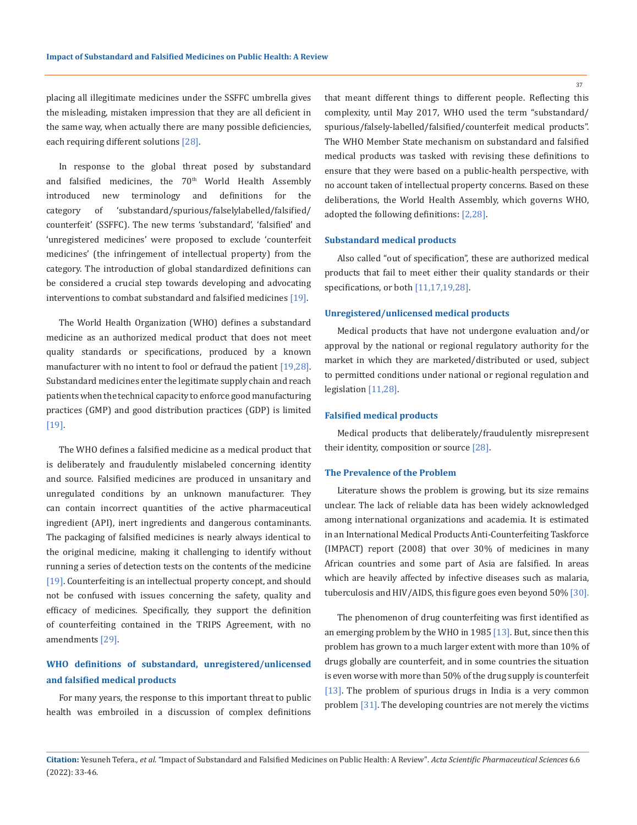placing all illegitimate medicines under the SSFFC umbrella gives the misleading, mistaken impression that they are all deficient in the same way, when actually there are many possible deficiencies, each requiring different solutions [28].

In response to the global threat posed by substandard and falsified medicines, the  $70<sup>th</sup>$  World Health Assembly introduced new terminology and definitions for the category of 'substandard/spurious/falselylabelled/falsified/ counterfeit' (SSFFC). The new terms 'substandard', 'falsified' and 'unregistered medicines' were proposed to exclude 'counterfeit medicines' (the infringement of intellectual property) from the category. The introduction of global standardized definitions can be considered a crucial step towards developing and advocating interventions to combat substandard and falsified medicines [19].

The World Health Organization (WHO) defines a substandard medicine as an authorized medical product that does not meet quality standards or specifications, produced by a known manufacturer with no intent to fool or defraud the patient [19,28]. Substandard medicines enter the legitimate supply chain and reach patients when the technical capacity to enforce good manufacturing practices (GMP) and good distribution practices (GDP) is limited [19].

The WHO defines a falsified medicine as a medical product that is deliberately and fraudulently mislabeled concerning identity and source. Falsified medicines are produced in unsanitary and unregulated conditions by an unknown manufacturer. They can contain incorrect quantities of the active pharmaceutical ingredient (API), inert ingredients and dangerous contaminants. The packaging of falsified medicines is nearly always identical to the original medicine, making it challenging to identify without running a series of detection tests on the contents of the medicine [19]. Counterfeiting is an intellectual property concept, and should not be confused with issues concerning the safety, quality and efficacy of medicines. Specifically, they support the definition of counterfeiting contained in the TRIPS Agreement, with no amendments [29].

# **WHO definitions of substandard, unregistered/unlicensed and falsified medical products**

For many years, the response to this important threat to public health was embroiled in a discussion of complex definitions that meant different things to different people. Reflecting this complexity, until May 2017, WHO used the term "substandard/ spurious/falsely-labelled/falsified/counterfeit medical products". The WHO Member State mechanism on substandard and falsified medical products was tasked with revising these definitions to ensure that they were based on a public-health perspective, with no account taken of intellectual property concerns. Based on these deliberations, the World Health Assembly, which governs WHO, adopted the following definitions: [2,28].

# **Substandard medical products**

Also called "out of specification", these are authorized medical products that fail to meet either their quality standards or their specifications, or both [11,17,19,28].

### **Unregistered/unlicensed medical products**

Medical products that have not undergone evaluation and/or approval by the national or regional regulatory authority for the market in which they are marketed/distributed or used, subject to permitted conditions under national or regional regulation and legislation [11,28].

### **Falsified medical products**

Medical products that deliberately/fraudulently misrepresent their identity, composition or source [28].

#### **The Prevalence of the Problem**

Literature shows the problem is growing, but its size remains unclear. The lack of reliable data has been widely acknowledged among international organizations and academia. It is estimated in an International Medical Products Anti-Counterfeiting Taskforce (IMPACT) report (2008) that over 30% of medicines in many African countries and some part of Asia are falsified. In areas which are heavily affected by infective diseases such as malaria, tuberculosis and HIV/AIDS, this figure goes even beyond 50% [30].

The phenomenon of drug counterfeiting was first identified as an emerging problem by the WHO in 1985 [13]. But, since then this problem has grown to a much larger extent with more than 10% of drugs globally are counterfeit, and in some countries the situation is even worse with more than 50% of the drug supply is counterfeit [13]. The problem of spurious drugs in India is a very common problem [31]. The developing countries are not merely the victims

**Citation:** Yesuneh Tefera*., et al.* "Impact of Substandard and Falsified Medicines on Public Health: A Review". *Acta Scientific Pharmaceutical Sciences* 6.6 (2022): 33-46.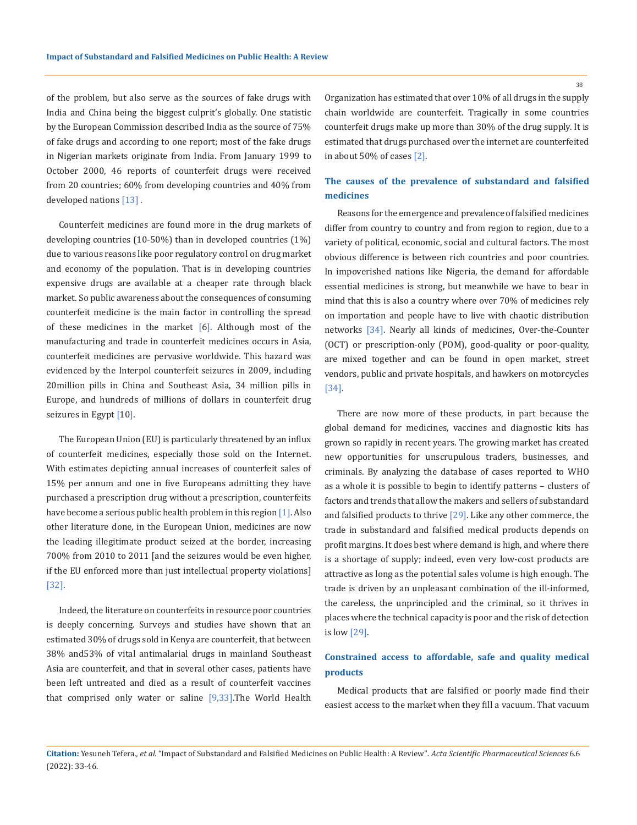of the problem, but also serve as the sources of fake drugs with India and China being the biggest culprit's globally. One statistic by the European Commission described India as the source of 75% of fake drugs and according to one report; most of the fake drugs in Nigerian markets originate from India. From January 1999 to October 2000, 46 reports of counterfeit drugs were received from 20 countries; 60% from developing countries and 40% from developed nations [13] .

Counterfeit medicines are found more in the drug markets of developing countries (10-50%) than in developed countries (1%) due to various reasons like poor regulatory control on drug market and economy of the population. That is in developing countries expensive drugs are available at a cheaper rate through black market. So public awareness about the consequences of consuming counterfeit medicine is the main factor in controlling the spread of these medicines in the market [6]. Although most of the manufacturing and trade in counterfeit medicines occurs in Asia, counterfeit medicines are pervasive worldwide. This hazard was evidenced by the Interpol counterfeit seizures in 2009, including 20million pills in China and Southeast Asia, 34 million pills in Europe, and hundreds of millions of dollars in counterfeit drug seizures in Egypt [10].

The European Union (EU) is particularly threatened by an influx of counterfeit medicines, especially those sold on the Internet. With estimates depicting annual increases of counterfeit sales of 15% per annum and one in five Europeans admitting they have purchased a prescription drug without a prescription, counterfeits have become a serious public health problem in this region [1]. Also other literature done, in the European Union, medicines are now the leading illegitimate product seized at the border, increasing 700% from 2010 to 2011 [and the seizures would be even higher, if the EU enforced more than just intellectual property violations] [32].

Indeed, the literature on counterfeits in resource poor countries is deeply concerning. Surveys and studies have shown that an estimated 30% of drugs sold in Kenya are counterfeit, that between 38% and53% of vital antimalarial drugs in mainland Southeast Asia are counterfeit, and that in several other cases, patients have been left untreated and died as a result of counterfeit vaccines that comprised only water or saline  $[9,33]$ . The World Health

Organization has estimated that over 10% of all drugs in the supply chain worldwide are counterfeit. Tragically in some countries counterfeit drugs make up more than 30% of the drug supply. It is estimated that drugs purchased over the internet are counterfeited in about 50% of cases [2].

# **The causes of the prevalence of substandard and falsified medicines**

Reasons for the emergence and prevalence of falsified medicines differ from country to country and from region to region, due to a variety of political, economic, social and cultural factors. The most obvious difference is between rich countries and poor countries. In impoverished nations like Nigeria, the demand for affordable essential medicines is strong, but meanwhile we have to bear in mind that this is also a country where over 70% of medicines rely on importation and people have to live with chaotic distribution networks [34]. Nearly all kinds of medicines, Over-the-Counter (OCT) or prescription-only (POM), good-quality or poor-quality, are mixed together and can be found in open market, street vendors, public and private hospitals, and hawkers on motorcycles [34].

There are now more of these products, in part because the global demand for medicines, vaccines and diagnostic kits has grown so rapidly in recent years. The growing market has created new opportunities for unscrupulous traders, businesses, and criminals. By analyzing the database of cases reported to WHO as a whole it is possible to begin to identify patterns – clusters of factors and trends that allow the makers and sellers of substandard and falsified products to thrive [29]. Like any other commerce, the trade in substandard and falsified medical products depends on profit margins. It does best where demand is high, and where there is a shortage of supply; indeed, even very low-cost products are attractive as long as the potential sales volume is high enough. The trade is driven by an unpleasant combination of the ill-informed, the careless, the unprincipled and the criminal, so it thrives in places where the technical capacity is poor and the risk of detection is low [29].

# **Constrained access to affordable, safe and quality medical products**

Medical products that are falsified or poorly made find their easiest access to the market when they fill a vacuum. That vacuum

**Citation:** Yesuneh Tefera*., et al.* "Impact of Substandard and Falsified Medicines on Public Health: A Review". *Acta Scientific Pharmaceutical Sciences* 6.6 (2022): 33-46.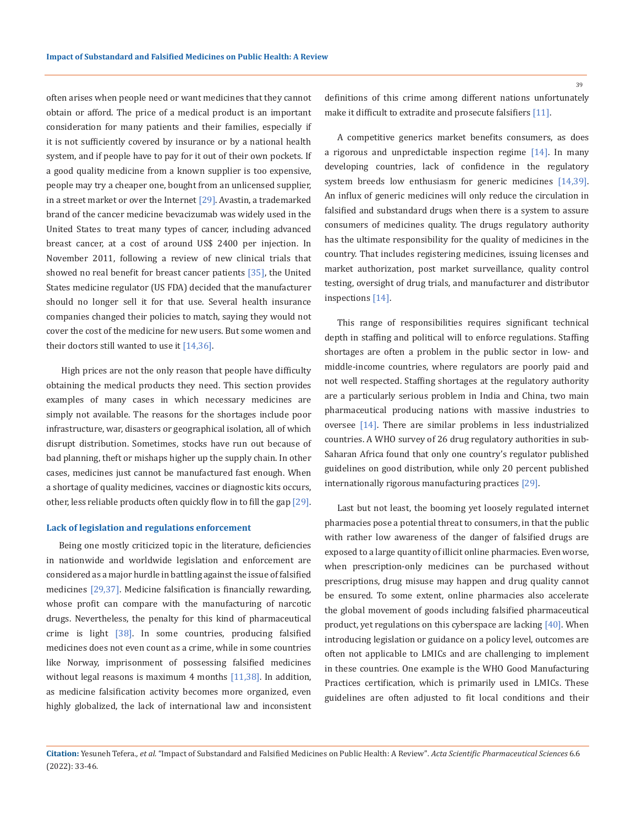often arises when people need or want medicines that they cannot obtain or afford. The price of a medical product is an important consideration for many patients and their families, especially if it is not sufficiently covered by insurance or by a national health system, and if people have to pay for it out of their own pockets. If a good quality medicine from a known supplier is too expensive, people may try a cheaper one, bought from an unlicensed supplier, in a street market or over the Internet  $[29]$ . Avastin, a trademarked brand of the cancer medicine bevacizumab was widely used in the United States to treat many types of cancer, including advanced breast cancer, at a cost of around US\$ 2400 per injection. In November 2011, following a review of new clinical trials that showed no real benefit for breast cancer patients [35], the United States medicine regulator (US FDA) decided that the manufacturer should no longer sell it for that use. Several health insurance companies changed their policies to match, saying they would not cover the cost of the medicine for new users. But some women and their doctors still wanted to use it  $[14,36]$ .

 High prices are not the only reason that people have difficulty obtaining the medical products they need. This section provides examples of many cases in which necessary medicines are simply not available. The reasons for the shortages include poor infrastructure, war, disasters or geographical isolation, all of which disrupt distribution. Sometimes, stocks have run out because of bad planning, theft or mishaps higher up the supply chain. In other cases, medicines just cannot be manufactured fast enough. When a shortage of quality medicines, vaccines or diagnostic kits occurs, other, less reliable products often quickly flow in to fill the gap [29].

### **Lack of legislation and regulations enforcement**

Being one mostly criticized topic in the literature, deficiencies in nationwide and worldwide legislation and enforcement are considered as a major hurdle in battling against the issue of falsified medicines [29,37]. Medicine falsification is financially rewarding, whose profit can compare with the manufacturing of narcotic drugs. Nevertheless, the penalty for this kind of pharmaceutical crime is light [38]. In some countries, producing falsified medicines does not even count as a crime, while in some countries like Norway, imprisonment of possessing falsified medicines without legal reasons is maximum 4 months  $[11,38]$ . In addition, as medicine falsification activity becomes more organized, even highly globalized, the lack of international law and inconsistent 39

definitions of this crime among different nations unfortunately make it difficult to extradite and prosecute falsifiers [11].

A competitive generics market benefits consumers, as does a rigorous and unpredictable inspection regime [14]. In many developing countries, lack of confidence in the regulatory system breeds low enthusiasm for generic medicines [14,39]. An influx of generic medicines will only reduce the circulation in falsified and substandard drugs when there is a system to assure consumers of medicines quality. The drugs regulatory authority has the ultimate responsibility for the quality of medicines in the country. That includes registering medicines, issuing licenses and market authorization, post market surveillance, quality control testing, oversight of drug trials, and manufacturer and distributor inspections [14].

This range of responsibilities requires significant technical depth in staffing and political will to enforce regulations. Staffing shortages are often a problem in the public sector in low- and middle-income countries, where regulators are poorly paid and not well respected. Staffing shortages at the regulatory authority are a particularly serious problem in India and China, two main pharmaceutical producing nations with massive industries to oversee [14]. There are similar problems in less industrialized countries. A WHO survey of 26 drug regulatory authorities in sub-Saharan Africa found that only one country's regulator published guidelines on good distribution, while only 20 percent published internationally rigorous manufacturing practices [29].

Last but not least, the booming yet loosely regulated internet pharmacies pose a potential threat to consumers, in that the public with rather low awareness of the danger of falsified drugs are exposed to a large quantity of illicit online pharmacies. Even worse, when prescription-only medicines can be purchased without prescriptions, drug misuse may happen and drug quality cannot be ensured. To some extent, online pharmacies also accelerate the global movement of goods including falsified pharmaceutical product, yet regulations on this cyberspace are lacking [40]. When introducing legislation or guidance on a policy level, outcomes are often not applicable to LMICs and are challenging to implement in these countries. One example is the WHO Good Manufacturing Practices certification, which is primarily used in LMICs. These guidelines are often adjusted to fit local conditions and their

**Citation:** Yesuneh Tefera*., et al.* "Impact of Substandard and Falsified Medicines on Public Health: A Review". *Acta Scientific Pharmaceutical Sciences* 6.6 (2022): 33-46.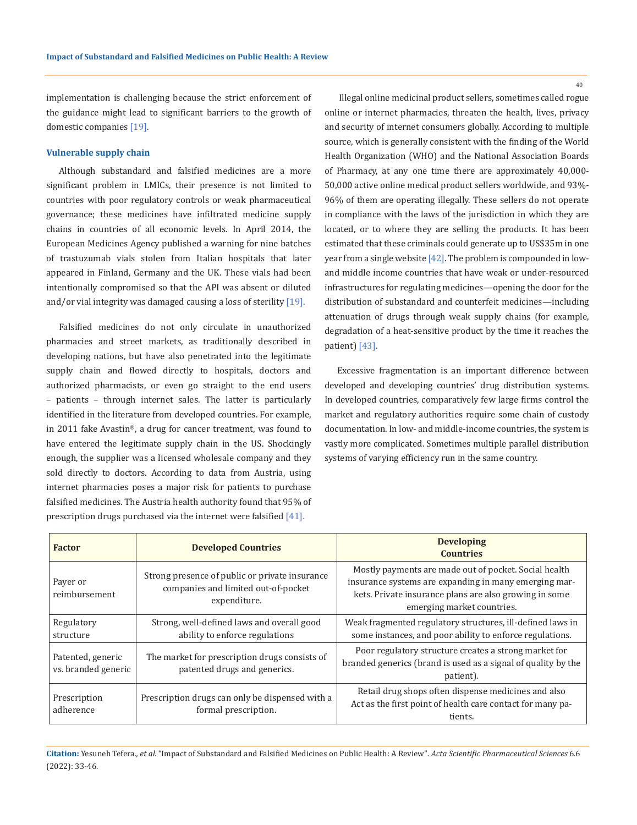implementation is challenging because the strict enforcement of the guidance might lead to significant barriers to the growth of domestic companies [19].

### **Vulnerable supply chain**

Although substandard and falsified medicines are a more significant problem in LMICs, their presence is not limited to countries with poor regulatory controls or weak pharmaceutical governance; these medicines have infiltrated medicine supply chains in countries of all economic levels. In April 2014, the European Medicines Agency published a warning for nine batches of trastuzumab vials stolen from Italian hospitals that later appeared in Finland, Germany and the UK. These vials had been intentionally compromised so that the API was absent or diluted and/or vial integrity was damaged causing a loss of sterility  $[19]$ .

Falsified medicines do not only circulate in unauthorized pharmacies and street markets, as traditionally described in developing nations, but have also penetrated into the legitimate supply chain and flowed directly to hospitals, doctors and authorized pharmacists, or even go straight to the end users – patients – through internet sales. The latter is particularly identified in the literature from developed countries. For example, in 2011 fake Avastin®, a drug for cancer treatment, was found to have entered the legitimate supply chain in the US. Shockingly enough, the supplier was a licensed wholesale company and they sold directly to doctors. According to data from Austria, using internet pharmacies poses a major risk for patients to purchase falsified medicines. The Austria health authority found that 95% of prescription drugs purchased via the internet were falsified [41].

 Illegal online medicinal product sellers, sometimes called rogue online or internet pharmacies, threaten the health, lives, privacy and security of internet consumers globally. According to multiple source, which is generally consistent with the finding of the World Health Organization (WHO) and the National Association Boards of Pharmacy, at any one time there are approximately 40,000- 50,000 active online medical product sellers worldwide, and 93%- 96% of them are operating illegally. These sellers do not operate in compliance with the laws of the jurisdiction in which they are located, or to where they are selling the products. It has been estimated that these criminals could generate up to US\$35m in one year from a single website [42]. The problem is compounded in lowand middle income countries that have weak or under-resourced infrastructures for regulating medicines—opening the door for the distribution of substandard and counterfeit medicines—including attenuation of drugs through weak supply chains (for example, degradation of a heat-sensitive product by the time it reaches the patient) [43].

Excessive fragmentation is an important difference between developed and developing countries' drug distribution systems. In developed countries, comparatively few large firms control the market and regulatory authorities require some chain of custody documentation. In low- and middle-income countries, the system is vastly more complicated. Sometimes multiple parallel distribution systems of varying efficiency run in the same country.

| <b>Factor</b>                            | <b>Developed Countries</b>                                                                            | <b>Developing</b><br><b>Countries</b>                                                                                                                                                                  |
|------------------------------------------|-------------------------------------------------------------------------------------------------------|--------------------------------------------------------------------------------------------------------------------------------------------------------------------------------------------------------|
| Payer or<br>reimbursement                | Strong presence of public or private insurance<br>companies and limited out-of-pocket<br>expenditure. | Mostly payments are made out of pocket. Social health<br>insurance systems are expanding in many emerging mar-<br>kets. Private insurance plans are also growing in some<br>emerging market countries. |
| Regulatory<br>structure                  | Strong, well-defined laws and overall good<br>ability to enforce regulations                          | Weak fragmented regulatory structures, ill-defined laws in<br>some instances, and poor ability to enforce regulations.                                                                                 |
| Patented, generic<br>vs. branded generic | The market for prescription drugs consists of<br>patented drugs and generics.                         | Poor regulatory structure creates a strong market for<br>branded generics (brand is used as a signal of quality by the<br>patient).                                                                    |
| Prescription<br>adherence                | Prescription drugs can only be dispensed with a<br>formal prescription.                               | Retail drug shops often dispense medicines and also<br>Act as the first point of health care contact for many pa-<br>tients.                                                                           |

# **Citation:** Yesuneh Tefera*., et al.* "Impact of Substandard and Falsified Medicines on Public Health: A Review". *Acta Scientific Pharmaceutical Sciences* 6.6 (2022): 33-46.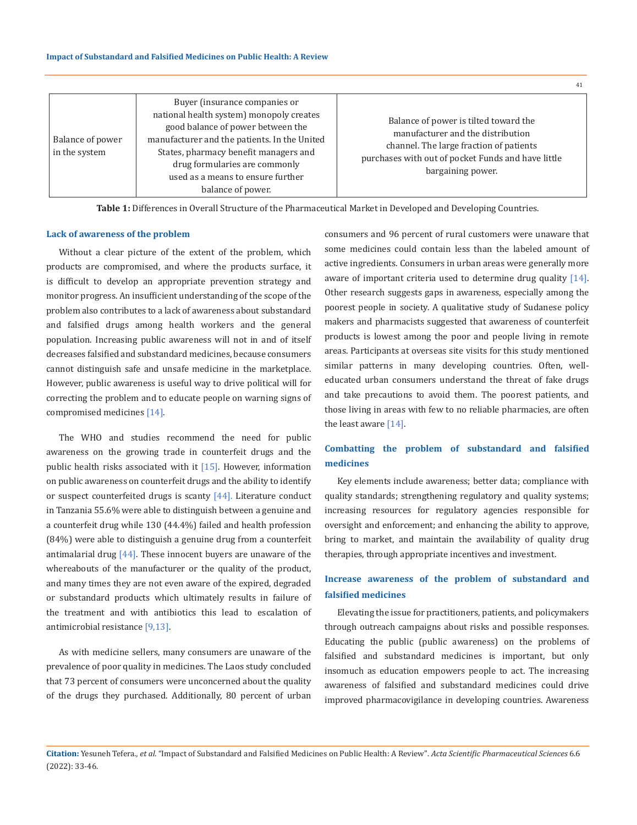|                                   | Buyer (insurance companies or                                                                                                                                                                                                                                     |                                                                                                                                                                                                  |
|-----------------------------------|-------------------------------------------------------------------------------------------------------------------------------------------------------------------------------------------------------------------------------------------------------------------|--------------------------------------------------------------------------------------------------------------------------------------------------------------------------------------------------|
| Balance of power<br>in the system | national health system) monopoly creates<br>good balance of power between the<br>manufacturer and the patients. In the United<br>States, pharmacy benefit managers and<br>drug formularies are commonly<br>used as a means to ensure further<br>balance of power. | Balance of power is tilted toward the<br>manufacturer and the distribution<br>channel. The large fraction of patients<br>purchases with out of pocket Funds and have little<br>bargaining power. |

**Table 1:** Differences in Overall Structure of the Pharmaceutical Market in Developed and Developing Countries.

### **Lack of awareness of the problem**

Without a clear picture of the extent of the problem, which products are compromised, and where the products surface, it is difficult to develop an appropriate prevention strategy and monitor progress. An insufficient understanding of the scope of the problem also contributes to a lack of awareness about substandard and falsified drugs among health workers and the general population. Increasing public awareness will not in and of itself decreases falsified and substandard medicines, because consumers cannot distinguish safe and unsafe medicine in the marketplace. However, public awareness is useful way to drive political will for correcting the problem and to educate people on warning signs of compromised medicines [14].

The WHO and studies recommend the need for public awareness on the growing trade in counterfeit drugs and the public health risks associated with it  $[15]$ . However, information on public awareness on counterfeit drugs and the ability to identify or suspect counterfeited drugs is scanty [44]. Literature conduct in Tanzania 55.6% were able to distinguish between a genuine and a counterfeit drug while 130 (44.4%) failed and health profession (84%) were able to distinguish a genuine drug from a counterfeit antimalarial drug  $[44]$ . These innocent buyers are unaware of the whereabouts of the manufacturer or the quality of the product, and many times they are not even aware of the expired, degraded or substandard products which ultimately results in failure of the treatment and with antibiotics this lead to escalation of antimicrobial resistance [9,13].

As with medicine sellers, many consumers are unaware of the prevalence of poor quality in medicines. The Laos study concluded that 73 percent of consumers were unconcerned about the quality of the drugs they purchased. Additionally, 80 percent of urban consumers and 96 percent of rural customers were unaware that some medicines could contain less than the labeled amount of active ingredients. Consumers in urban areas were generally more aware of important criteria used to determine drug quality [14]. Other research suggests gaps in awareness, especially among the poorest people in society. A qualitative study of Sudanese policy makers and pharmacists suggested that awareness of counterfeit products is lowest among the poor and people living in remote areas. Participants at overseas site visits for this study mentioned similar patterns in many developing countries. Often, welleducated urban consumers understand the threat of fake drugs and take precautions to avoid them. The poorest patients, and those living in areas with few to no reliable pharmacies, are often the least aware [14].

41

# **Combatting the problem of substandard and falsified medicines**

Key elements include awareness; better data; compliance with quality standards; strengthening regulatory and quality systems; increasing resources for regulatory agencies responsible for oversight and enforcement; and enhancing the ability to approve, bring to market, and maintain the availability of quality drug therapies, through appropriate incentives and investment.

# **Increase awareness of the problem of substandard and falsified medicines**

Elevating the issue for practitioners, patients, and policymakers through outreach campaigns about risks and possible responses. Educating the public (public awareness) on the problems of falsified and substandard medicines is important, but only insomuch as education empowers people to act. The increasing awareness of falsified and substandard medicines could drive improved pharmacovigilance in developing countries. Awareness

**Citation:** Yesuneh Tefera*., et al.* "Impact of Substandard and Falsified Medicines on Public Health: A Review". *Acta Scientific Pharmaceutical Sciences* 6.6 (2022): 33-46.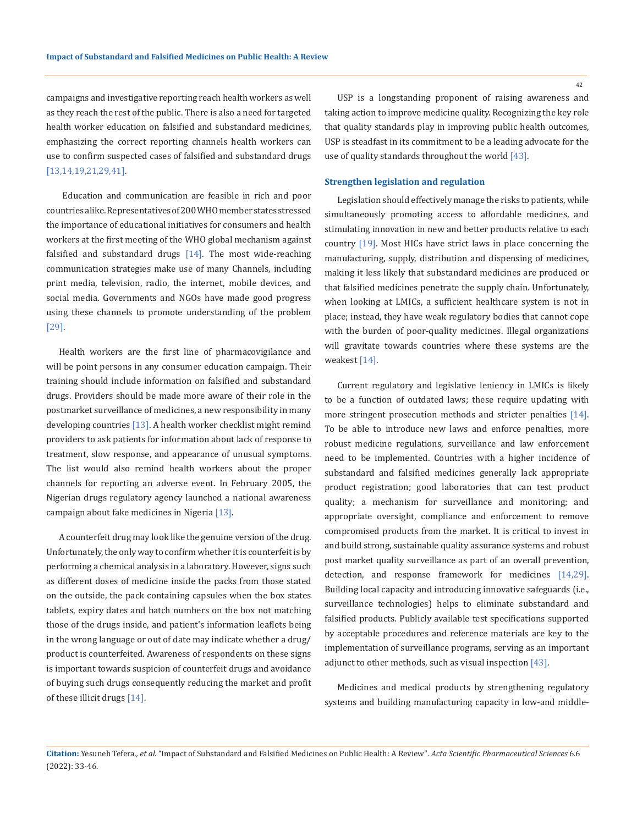campaigns and investigative reporting reach health workers as well as they reach the rest of the public. There is also a need for targeted health worker education on falsified and substandard medicines, emphasizing the correct reporting channels health workers can use to confirm suspected cases of falsified and substandard drugs [13,14,19,21,29,41].

 Education and communication are feasible in rich and poor countries alike. Representatives of 200 WHO member states stressed the importance of educational initiatives for consumers and health workers at the first meeting of the WHO global mechanism against falsified and substandard drugs  $[14]$ . The most wide-reaching communication strategies make use of many Channels, including print media, television, radio, the internet, mobile devices, and social media. Governments and NGOs have made good progress using these channels to promote understanding of the problem [29].

Health workers are the first line of pharmacovigilance and will be point persons in any consumer education campaign. Their training should include information on falsified and substandard drugs. Providers should be made more aware of their role in the postmarket surveillance of medicines, a new responsibility in many developing countries [13]. A health worker checklist might remind providers to ask patients for information about lack of response to treatment, slow response, and appearance of unusual symptoms. The list would also remind health workers about the proper channels for reporting an adverse event. In February 2005, the Nigerian drugs regulatory agency launched a national awareness campaign about fake medicines in Nigeria [13].

A counterfeit drug may look like the genuine version of the drug. Unfortunately, the only way to confirm whether it is counterfeit is by performing a chemical analysis in a laboratory. However, signs such as different doses of medicine inside the packs from those stated on the outside, the pack containing capsules when the box states tablets, expiry dates and batch numbers on the box not matching those of the drugs inside, and patient's information leaflets being in the wrong language or out of date may indicate whether a drug/ product is counterfeited. Awareness of respondents on these signs is important towards suspicion of counterfeit drugs and avoidance of buying such drugs consequently reducing the market and profit of these illicit drugs [14].

USP is a longstanding proponent of raising awareness and taking action to improve medicine quality. Recognizing the key role that quality standards play in improving public health outcomes, USP is steadfast in its commitment to be a leading advocate for the use of quality standards throughout the world [43].

# **Strengthen legislation and regulation**

Legislation should effectively manage the risks to patients, while simultaneously promoting access to affordable medicines, and stimulating innovation in new and better products relative to each country [19]. Most HICs have strict laws in place concerning the manufacturing, supply, distribution and dispensing of medicines, making it less likely that substandard medicines are produced or that falsified medicines penetrate the supply chain. Unfortunately, when looking at LMICs, a sufficient healthcare system is not in place; instead, they have weak regulatory bodies that cannot cope with the burden of poor-quality medicines. Illegal organizations will gravitate towards countries where these systems are the weakest [14].

Current regulatory and legislative leniency in LMICs is likely to be a function of outdated laws; these require updating with more stringent prosecution methods and stricter penalties [14]. To be able to introduce new laws and enforce penalties, more robust medicine regulations, surveillance and law enforcement need to be implemented. Countries with a higher incidence of substandard and falsified medicines generally lack appropriate product registration; good laboratories that can test product quality; a mechanism for surveillance and monitoring; and appropriate oversight, compliance and enforcement to remove compromised products from the market. It is critical to invest in and build strong, sustainable quality assurance systems and robust post market quality surveillance as part of an overall prevention, detection, and response framework for medicines [14,29]. Building local capacity and introducing innovative safeguards (i.e., surveillance technologies) helps to eliminate substandard and falsified products. Publicly available test specifications supported by acceptable procedures and reference materials are key to the implementation of surveillance programs, serving as an important adjunct to other methods, such as visual inspection [43].

Medicines and medical products by strengthening regulatory systems and building manufacturing capacity in low-and middle-

**Citation:** Yesuneh Tefera*., et al.* "Impact of Substandard and Falsified Medicines on Public Health: A Review". *Acta Scientific Pharmaceutical Sciences* 6.6 (2022): 33-46.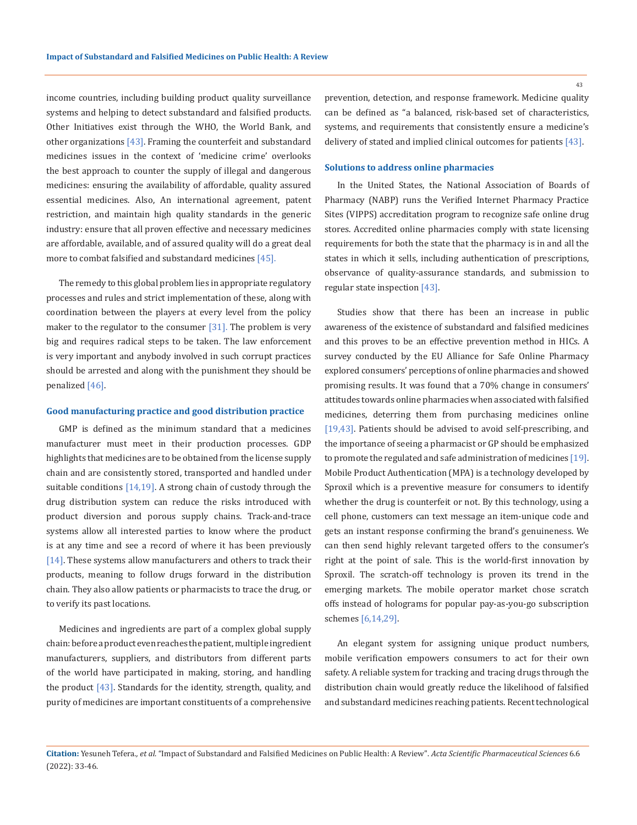income countries, including building product quality surveillance systems and helping to detect substandard and falsified products. Other Initiatives exist through the WHO, the World Bank, and other organizations [43]. Framing the counterfeit and substandard medicines issues in the context of 'medicine crime' overlooks the best approach to counter the supply of illegal and dangerous medicines: ensuring the availability of affordable, quality assured essential medicines. Also, An international agreement, patent restriction, and maintain high quality standards in the generic industry: ensure that all proven effective and necessary medicines are affordable, available, and of assured quality will do a great deal more to combat falsified and substandard medicines [45].

The remedy to this global problem lies in appropriate regulatory processes and rules and strict implementation of these, along with coordination between the players at every level from the policy maker to the regulator to the consumer  $[31]$ . The problem is very big and requires radical steps to be taken. The law enforcement is very important and anybody involved in such corrupt practices should be arrested and along with the punishment they should be penalized [46].

### **Good manufacturing practice and good distribution practice**

GMP is defined as the minimum standard that a medicines manufacturer must meet in their production processes. GDP highlights that medicines are to be obtained from the license supply chain and are consistently stored, transported and handled under suitable conditions  $[14,19]$ . A strong chain of custody through the drug distribution system can reduce the risks introduced with product diversion and porous supply chains. Track-and-trace systems allow all interested parties to know where the product is at any time and see a record of where it has been previously [14]. These systems allow manufacturers and others to track their products, meaning to follow drugs forward in the distribution chain. They also allow patients or pharmacists to trace the drug, or to verify its past locations.

Medicines and ingredients are part of a complex global supply chain: before a product even reaches the patient, multiple ingredient manufacturers, suppliers, and distributors from different parts of the world have participated in making, storing, and handling the product  $[43]$ . Standards for the identity, strength, quality, and purity of medicines are important constituents of a comprehensive prevention, detection, and response framework. Medicine quality can be defined as "a balanced, risk-based set of characteristics, systems, and requirements that consistently ensure a medicine's delivery of stated and implied clinical outcomes for patients [43].

## **Solutions to address online pharmacies**

In the United States, the National Association of Boards of Pharmacy (NABP) runs the Verified Internet Pharmacy Practice Sites (VIPPS) accreditation program to recognize safe online drug stores. Accredited online pharmacies comply with state licensing requirements for both the state that the pharmacy is in and all the states in which it sells, including authentication of prescriptions, observance of quality-assurance standards, and submission to regular state inspection [43].

Studies show that there has been an increase in public awareness of the existence of substandard and falsified medicines and this proves to be an effective prevention method in HICs. A survey conducted by the EU Alliance for Safe Online Pharmacy explored consumers' perceptions of online pharmacies and showed promising results. It was found that a 70% change in consumers' attitudes towards online pharmacies when associated with falsified medicines, deterring them from purchasing medicines online [19,43]. Patients should be advised to avoid self-prescribing, and the importance of seeing a pharmacist or GP should be emphasized to promote the regulated and safe administration of medicines [19]. Mobile Product Authentication (MPA) is a technology developed by Sproxil which is a preventive measure for consumers to identify whether the drug is counterfeit or not. By this technology, using a cell phone, customers can text message an item-unique code and gets an instant response confirming the brand's genuineness. We can then send highly relevant targeted offers to the consumer's right at the point of sale. This is the world-first innovation by Sproxil. The scratch-off technology is proven its trend in the emerging markets. The mobile operator market chose scratch offs instead of holograms for popular pay-as-you-go subscription schemes [6,14,29].

An elegant system for assigning unique product numbers, mobile verification empowers consumers to act for their own safety. A reliable system for tracking and tracing drugs through the distribution chain would greatly reduce the likelihood of falsified and substandard medicines reaching patients. Recent technological

**Citation:** Yesuneh Tefera*., et al.* "Impact of Substandard and Falsified Medicines on Public Health: A Review". *Acta Scientific Pharmaceutical Sciences* 6.6 (2022): 33-46.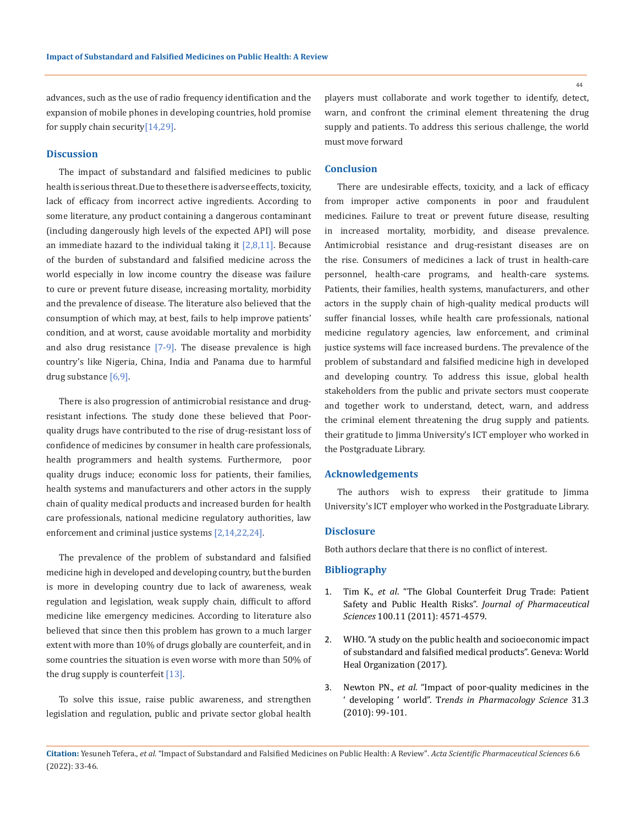advances, such as the use of radio frequency identification and the expansion of mobile phones in developing countries, hold promise for supply chain security[14,29].

# **Discussion**

The impact of substandard and falsified medicines to public health is serious threat. Due to these there is adverse effects, toxicity, lack of efficacy from incorrect active ingredients. According to some literature, any product containing a dangerous contaminant (including dangerously high levels of the expected API) will pose an immediate hazard to the individual taking it  $[2,8,11]$ . Because of the burden of substandard and falsified medicine across the world especially in low income country the disease was failure to cure or prevent future disease, increasing mortality, morbidity and the prevalence of disease. The literature also believed that the consumption of which may, at best, fails to help improve patients' condition, and at worst, cause avoidable mortality and morbidity and also drug resistance [7-9]. The disease prevalence is high country's like Nigeria, China, India and Panama due to harmful drug substance [6,9].

There is also progression of antimicrobial resistance and drugresistant infections. The study done these believed that Poorquality drugs have contributed to the rise of drug-resistant loss of confidence of medicines by consumer in health care professionals, health programmers and health systems. Furthermore, poor quality drugs induce; economic loss for patients, their families, health systems and manufacturers and other actors in the supply chain of quality medical products and increased burden for health care professionals, national medicine regulatory authorities, law enforcement and criminal justice systems [2,14,22,24].

The prevalence of the problem of substandard and falsified medicine high in developed and developing country, but the burden is more in developing country due to lack of awareness, weak regulation and legislation, weak supply chain, difficult to afford medicine like emergency medicines. According to literature also believed that since then this problem has grown to a much larger extent with more than 10% of drugs globally are counterfeit, and in some countries the situation is even worse with more than 50% of the drug supply is counterfeit [13].

To solve this issue, raise public awareness, and strengthen legislation and regulation, public and private sector global health players must collaborate and work together to identify, detect, warn, and confront the criminal element threatening the drug supply and patients. To address this serious challenge, the world must move forward

# **Conclusion**

There are undesirable effects, toxicity, and a lack of efficacy from improper active components in poor and fraudulent medicines. Failure to treat or prevent future disease, resulting in increased mortality, morbidity, and disease prevalence. Antimicrobial resistance and drug-resistant diseases are on the rise. Consumers of medicines a lack of trust in health-care personnel, health-care programs, and health-care systems. Patients, their families, health systems, manufacturers, and other actors in the supply chain of high-quality medical products will suffer financial losses, while health care professionals, national medicine regulatory agencies, law enforcement, and criminal justice systems will face increased burdens. The prevalence of the problem of substandard and falsified medicine high in developed and developing country. To address this issue, global health stakeholders from the public and private sectors must cooperate and together work to understand, detect, warn, and address the criminal element threatening the drug supply and patients. their gratitude to Jimma University's ICT employer who worked in the Postgraduate Library.

#### **Acknowledgements**

The authors wish to express their gratitude to Jimma University's ICT employer who worked in the Postgraduate Library.

## **Disclosure**

Both authors declare that there is no conflict of interest.

### **Bibliography**

- 1. Tim K., *et al*[. "The Global Counterfeit Drug Trade: Patient](https://pubmed.ncbi.nlm.nih.gov/21698604/)  [Safety and Public Health Risks".](https://pubmed.ncbi.nlm.nih.gov/21698604/) *Journal of Pharmaceutical Sciences* [100.11 \(2011\): 4571-4579.](https://pubmed.ncbi.nlm.nih.gov/21698604/)
- 2. WHO. "A study on the public health and socioeconomic impact of substandard and falsified medical products". Geneva: World Heal Organization (2017).
- 3. Newton PN., *et al*. "Impact of poor-quality medicines in the ' developing ' world". T*rends in Pharmacology Science* 31.3 (2010): 99-101.

**Citation:** Yesuneh Tefera*., et al.* "Impact of Substandard and Falsified Medicines on Public Health: A Review". *Acta Scientific Pharmaceutical Sciences* 6.6 (2022): 33-46.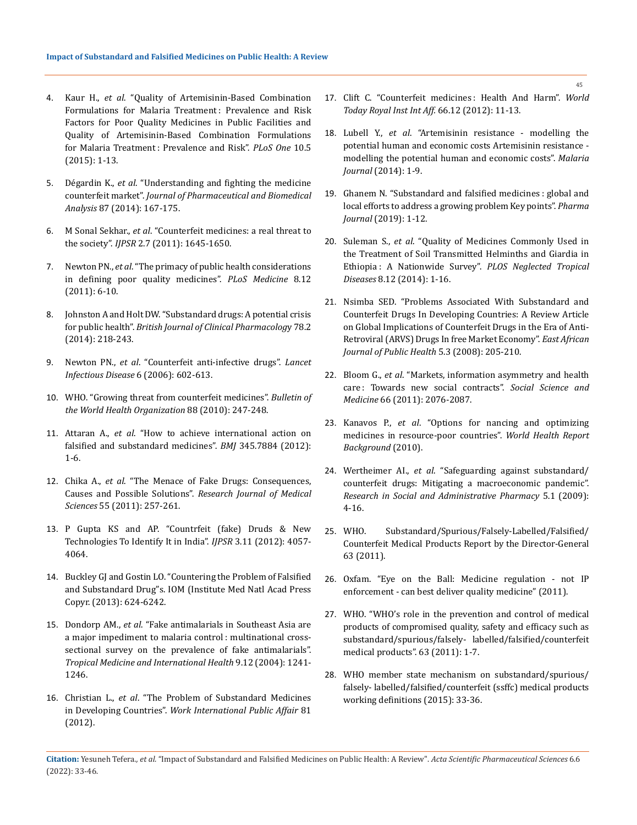- 4. Kaur H., *et al*[. "Quality of Artemisinin-Based Combination](https://pubmed.ncbi.nlm.nih.gov/26018221/)  Formulations for Malaria Treatment: Prevalence and Risk [Factors for Poor Quality Medicines in Public Facilities and](https://pubmed.ncbi.nlm.nih.gov/26018221/)  [Quality of Artemisinin-Based Combination Formulations](https://pubmed.ncbi.nlm.nih.gov/26018221/)  [for Malaria Treatment : Prevalence and Risk".](https://pubmed.ncbi.nlm.nih.gov/26018221/) *PLoS One* 10.5 [\(2015\): 1-13.](https://pubmed.ncbi.nlm.nih.gov/26018221/)
- 5. Dégardin K., *et al*[. "Understanding and fighting the medicine](http://dx.doi.org/10.1016/j.jpba.2013.01.009)  counterfeit market". *[Journal of Pharmaceutical and Biomedical](http://dx.doi.org/10.1016/j.jpba.2013.01.009)  Analysis* [87 \(2014\): 167-175.](http://dx.doi.org/10.1016/j.jpba.2013.01.009)
- 6. M Sonal Sekhar., *et al*[. "Counterfeit medicines: a real threat to](https://ijpsr.com/bft-article/counterfeit-medicines-a-real-threat-to-the-society/)  the society". *IJPSR* [2.7 \(2011\): 1645-1650.](https://ijpsr.com/bft-article/counterfeit-medicines-a-real-threat-to-the-society/)
- 7. Newton PN., *et al*[. "The primacy of public health considerations](https://journals.plos.org/plosmedicine/article?id=10.1371/journal.pmed.1001139)  [in defining poor quality medicines".](https://journals.plos.org/plosmedicine/article?id=10.1371/journal.pmed.1001139) *PLoS Medicine* 8.12 [\(2011\): 6-10.](https://journals.plos.org/plosmedicine/article?id=10.1371/journal.pmed.1001139)
- 8. Johnston A and Holt DW. "Substandard drugs: A potential crisis for public health". *British Journal of Clinical Pharmacolog*y 78.2 (2014): 218-243.
- 9. Newton PN., *et al*[. "Counterfeit anti-infective drugs".](https://pubmed.ncbi.nlm.nih.gov/16931411/) *Lancet [Infectious Disease](https://pubmed.ncbi.nlm.nih.gov/16931411/)* 6 (2006): 602-613.
- 10. [WHO. "Growing threat from counterfeit medicines".](https://www.ncbi.nlm.nih.gov/pmc/articles/PMC2855605/) *Bulletin of [the World Health Organization](https://www.ncbi.nlm.nih.gov/pmc/articles/PMC2855605/)* 88 (2010): 247-248.
- 11. Attaran A., *et al*[. "How to achieve international action on](https://www.bmj.com/content/345/bmj.e7381)  [falsified and substandard medicines".](https://www.bmj.com/content/345/bmj.e7381) *BMJ* 345.7884 (2012): [1-6.](https://www.bmj.com/content/345/bmj.e7381)
- 12. Chika A., *et al*[. "The Menace of Fake Drugs: Consequences,](http://www.medwelljournals.com/abstract/?doi=rjmsci.2011.257.261)  Causes and Possible Solutions". *[Research Journal of Medical](http://www.medwelljournals.com/abstract/?doi=rjmsci.2011.257.261)  Sciences* [55 \(2011\): 257-261.](http://www.medwelljournals.com/abstract/?doi=rjmsci.2011.257.261)
- 13. P Gupta KS and AP. "Countrfeit (fake) Druds & New Technologies To Identify It in India". *IJPSR* 3.11 (2012): 4057- 4064.
- 14. Buckley GJ and Gostin LO. "Countering the Problem of Falsified and Substandard Drug"s. IOM (Institute Med Natl Acad Press Copyr. (2013): 624-6242.
- 15. Dondorp AM., *et al*[. "Fake antimalarials in Southeast Asia are](https://pubmed.ncbi.nlm.nih.gov/15598255/)  [a major impediment to malaria control : multinational cross](https://pubmed.ncbi.nlm.nih.gov/15598255/)[sectional survey on the prevalence of fake antimalarials".](https://pubmed.ncbi.nlm.nih.gov/15598255/)  *[Tropical Medicine and International Health](https://pubmed.ncbi.nlm.nih.gov/15598255/)* 9.12 (2004): 1241- [1246.](https://pubmed.ncbi.nlm.nih.gov/15598255/)
- 16. Christian L., *et al*[. "The Problem of Substandard Medicines](https://lafollette.wisc.edu/images/publications/workshops/2012-medicines.pdf)  in Developing Countries". *[Work International Public Affair](https://lafollette.wisc.edu/images/publications/workshops/2012-medicines.pdf)* 81 [\(2012\).](https://lafollette.wisc.edu/images/publications/workshops/2012-medicines.pdf)
- 17. Clift C. "Counterfeit medicines : Health And Harm". *World Today Royal Inst Int Aff.* 66.12 (2012): 11-13.
- 18. Lubell Y., *et al*[. "Artemisinin resistance modelling the](https://malariajournal.biomedcentral.com/articles/10.1186/1475-2875-13-452)  [potential human and economic costs Artemisinin resistance](https://malariajournal.biomedcentral.com/articles/10.1186/1475-2875-13-452)  [modelling the potential human and economic costs".](https://malariajournal.biomedcentral.com/articles/10.1186/1475-2875-13-452) *Malaria Journal* [\(2014\): 1-9.](https://malariajournal.biomedcentral.com/articles/10.1186/1475-2875-13-452)
- 19. [Ghanem N. "Substandard and falsified medicines : global and](https://pharmaceutical-journal.com/article/research/substandard-and-falsified-medicines-global-and-local-efforts-to-address-a-growing-problem)  [local efforts to address a growing problem Key points".](https://pharmaceutical-journal.com/article/research/substandard-and-falsified-medicines-global-and-local-efforts-to-address-a-growing-problem) *Pharma Journal* [\(2019\): 1-12.](https://pharmaceutical-journal.com/article/research/substandard-and-falsified-medicines-global-and-local-efforts-to-address-a-growing-problem)
- 20. Suleman S., *et al*[. "Quality of Medicines Commonly Used in](https://journals.plos.org/plosntds/article?id=10.1371/journal.pntd.0003345)  [the Treatment of Soil Transmitted Helminths and Giardia in](https://journals.plos.org/plosntds/article?id=10.1371/journal.pntd.0003345)  [Ethiopia : A Nationwide Survey".](https://journals.plos.org/plosntds/article?id=10.1371/journal.pntd.0003345) *PLOS Neglected Tropical Diseases* [8.12 \(2014\): 1-16.](https://journals.plos.org/plosntds/article?id=10.1371/journal.pntd.0003345)
- 21. [Nsimba SED. "Problems Associated With Substandard and](https://pubmed.ncbi.nlm.nih.gov/19374325/)  [Counterfeit Drugs In Developing Countries: A Review Article](https://pubmed.ncbi.nlm.nih.gov/19374325/)  [on Global Implications of Counterfeit Drugs in the Era of Anti-](https://pubmed.ncbi.nlm.nih.gov/19374325/)[Retroviral \(ARVS\) Drugs In free Market Economy".](https://pubmed.ncbi.nlm.nih.gov/19374325/) *East African [Journal of Public Health](https://pubmed.ncbi.nlm.nih.gov/19374325/)* 5.3 (2008): 205-210.
- 22. Bloom G., *et al*[. "Markets, information asymmetry and health](https://www.sciencedirect.com/science/article/abs/pii/S0277953608000592)  [care : Towards new social contracts".](https://www.sciencedirect.com/science/article/abs/pii/S0277953608000592) *Social Science and Medicine* [66 \(2011\): 2076-2087.](https://www.sciencedirect.com/science/article/abs/pii/S0277953608000592)
- 23. Kanavos P., *et al*. "Options for nancing and optimizing medicines in resource-poor countries". *World Health Report Background* (2010).
- 24. Wertheimer AI., *et al*[. "Safeguarding against substandard/](http://dx.doi.org/10.1016/j.sapharm.2008.05.002) [counterfeit drugs: Mitigating a macroeconomic pandemic".](http://dx.doi.org/10.1016/j.sapharm.2008.05.002)  *[Research in Social and Administrative Pharmacy](http://dx.doi.org/10.1016/j.sapharm.2008.05.002)* 5.1 (2009): [4-16.](http://dx.doi.org/10.1016/j.sapharm.2008.05.002)
- 25. WHO. Substandard/Spurious/Falsely-Labelled/Falsified/ Counterfeit Medical Products Report by the Director-General 63 (2011).
- 26. Oxfam. "Eye on the Ball: Medicine regulation not IP enforcement - can best deliver quality medicine" (2011).
- 27. WHO. "WHO's role in the prevention and control of medical products of compromised quality, safety and efficacy such as substandard/spurious/falsely- labelled/falsified/counterfeit medical products". 63 (2011): 1-7.
- 28. WHO member state mechanism on substandard/spurious/ falsely- labelled/falsified/counterfeit (ssffc) medical products working definitions (2015): 33-36.

**Citation:** Yesuneh Tefera*., et al.* "Impact of Substandard and Falsified Medicines on Public Health: A Review". *Acta Scientific Pharmaceutical Sciences* 6.6 (2022): 33-46.